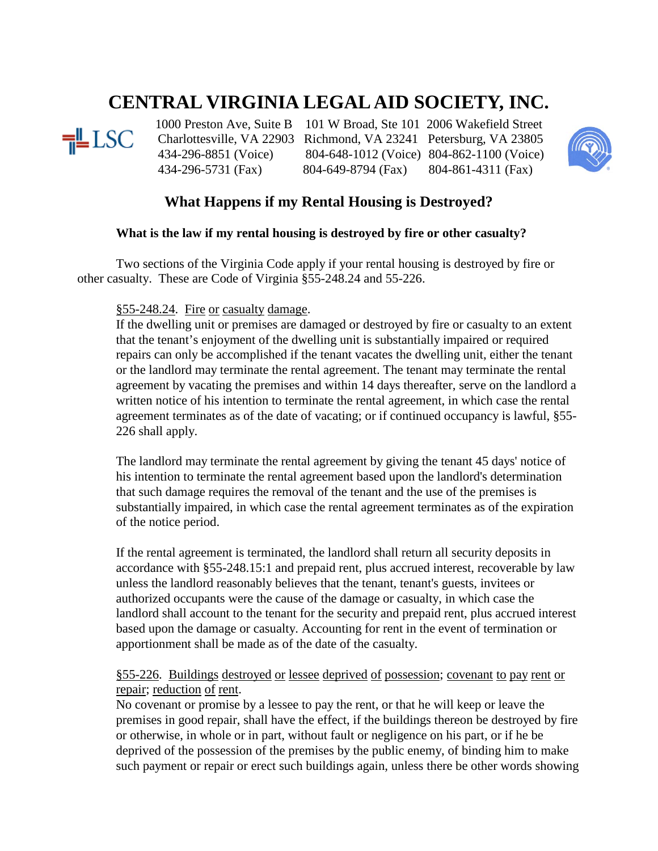# **CENTRAL VIRGINIA LEGAL AID SOCIETY, INC.**



<sup>1000</sup> Preston Ave, Suite B 101 W Broad, Ste 101 2006 Wakefield Street<br>
LSC Charlottesville, VA 22903 Richmond, VA 23241 Petersburg, VA 23805 Charlottesville, VA 22903 Richmond, VA 23241 Petersburg, VA 23805 434-296-8851 (Voice) 804-648-1012 (Voice) 804-862-1100 (Voice) 434-296-5731 (Fax) 804-649-8794 (Fax) 804-861-4311 (Fax)



# **What Happens if my Rental Housing is Destroyed?**

# **What is the law if my rental housing is destroyed by fire or other casualty?**

Two sections of the Virginia Code apply if your rental housing is destroyed by fire or other casualty. These are Code of Virginia §55-248.24 and 55-226.

#### §55-248.24. Fire or casualty damage.

If the dwelling unit or premises are damaged or destroyed by fire or casualty to an extent that the tenant's enjoyment of the dwelling unit is substantially impaired or required repairs can only be accomplished if the tenant vacates the dwelling unit, either the tenant or the landlord may terminate the rental agreement. The tenant may terminate the rental agreement by vacating the premises and within 14 days thereafter, serve on the landlord a written notice of his intention to terminate the rental agreement, in which case the rental agreement terminates as of the date of vacating; or if continued occupancy is lawful, [§55-](http://www.lexis.com/research/buttonTFLink?_m=62a9c984354dfc2091462dbb990bcf50&_xfercite=%3ccite%20cc%3d%22USA%22%3e%3c%21%5bCDATA%5bVa.%20Code%20Ann.%20%a7%2055-248.24%5d%5d%3e%3c%2fcite%3e&_butType=4&_butStat=0&_butNum=2&_butInline=1&_butinfo=VA%20CODE%2055-226&_fmtstr=FULL&docnum=1&_startdoc=1&wchp=dGLzVlz-zSkAk&_md5=be715a97bc4fbe511c80cf89a72a9413) [226](http://www.lexis.com/research/buttonTFLink?_m=62a9c984354dfc2091462dbb990bcf50&_xfercite=%3ccite%20cc%3d%22USA%22%3e%3c%21%5bCDATA%5bVa.%20Code%20Ann.%20%a7%2055-248.24%5d%5d%3e%3c%2fcite%3e&_butType=4&_butStat=0&_butNum=2&_butInline=1&_butinfo=VA%20CODE%2055-226&_fmtstr=FULL&docnum=1&_startdoc=1&wchp=dGLzVlz-zSkAk&_md5=be715a97bc4fbe511c80cf89a72a9413) shall apply.

The landlord may terminate the rental agreement by giving the tenant 45 days' notice of his intention to terminate the rental agreement based upon the landlord's determination that such damage requires the removal of the tenant and the use of the premises is substantially impaired, in which case the rental agreement terminates as of the expiration of the notice period.

If the rental agreement is terminated, the landlord shall return all security deposits in accordance with [§55-248.15:1](http://www.lexis.com/research/buttonTFLink?_m=62a9c984354dfc2091462dbb990bcf50&_xfercite=%3ccite%20cc%3d%22USA%22%3e%3c%21%5bCDATA%5bVa.%20Code%20Ann.%20%a7%2055-248.24%5d%5d%3e%3c%2fcite%3e&_butType=4&_butStat=0&_butNum=3&_butInline=1&_butinfo=VA%20CODE%2055-248.15%3a1&_fmtstr=FULL&docnum=1&_startdoc=1&wchp=dGLzVlz-zSkAk&_md5=a946fee9582e52aabf0c973f490a8f38) and prepaid rent, plus accrued interest, recoverable by law unless the landlord reasonably believes that the tenant, tenant's guests, invitees or authorized occupants were the cause of the damage or casualty, in which case the landlord shall account to the tenant for the security and prepaid rent, plus accrued interest based upon the damage or casualty. Accounting for rent in the event of termination or apportionment shall be made as of the date of the casualty.

# §55-226. Buildings destroyed or lessee deprived of possession; covenant to pay rent or repair; reduction of rent.

No covenant or promise by a lessee to pay the rent, or that he will keep or leave the premises in good repair, shall have the effect, if the buildings thereon be destroyed by fire or otherwise, in whole or in part, without fault or negligence on his part, or if he be deprived of the possession of the premises by the public enemy, of binding him to make such payment or repair or erect such buildings again, unless there be other words showing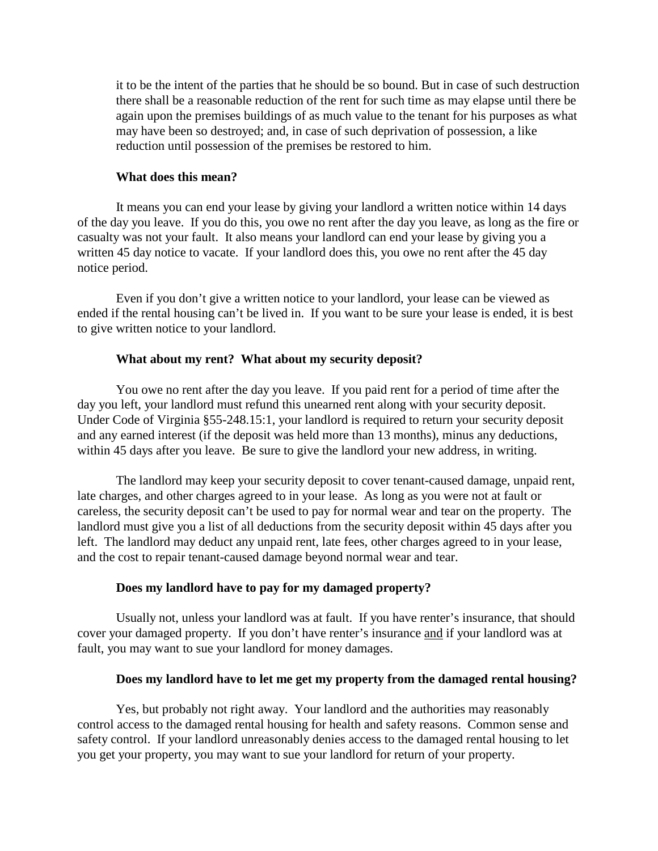it to be the intent of the parties that he should be so bound. But in case of such destruction there shall be a reasonable reduction of the rent for such time as may elapse until there be again upon the premises buildings of as much value to the tenant for his purposes as what may have been so destroyed; and, in case of such deprivation of possession, a like reduction until possession of the premises be restored to him.

#### **What does this mean?**

It means you can end your lease by giving your landlord a written notice within 14 days of the day you leave. If you do this, you owe no rent after the day you leave, as long as the fire or casualty was not your fault. It also means your landlord can end your lease by giving you a written 45 day notice to vacate. If your landlord does this, you owe no rent after the 45 day notice period.

Even if you don't give a written notice to your landlord, your lease can be viewed as ended if the rental housing can't be lived in. If you want to be sure your lease is ended, it is best to give written notice to your landlord.

#### **What about my rent? What about my security deposit?**

You owe no rent after the day you leave. If you paid rent for a period of time after the day you left, your landlord must refund this unearned rent along with your security deposit. Under Code of Virginia §55-248.15:1, your landlord is required to return your security deposit and any earned interest (if the deposit was held more than 13 months), minus any deductions, within 45 days after you leave. Be sure to give the landlord your new address, in writing.

The landlord may keep your security deposit to cover tenant-caused damage, unpaid rent, late charges, and other charges agreed to in your lease. As long as you were not at fault or careless, the security deposit can't be used to pay for normal wear and tear on the property. The landlord must give you a list of all deductions from the security deposit within 45 days after you left. The landlord may deduct any unpaid rent, late fees, other charges agreed to in your lease, and the cost to repair tenant-caused damage beyond normal wear and tear.

#### **Does my landlord have to pay for my damaged property?**

Usually not, unless your landlord was at fault. If you have renter's insurance, that should cover your damaged property. If you don't have renter's insurance and if your landlord was at fault, you may want to sue your landlord for money damages.

#### **Does my landlord have to let me get my property from the damaged rental housing?**

Yes, but probably not right away. Your landlord and the authorities may reasonably control access to the damaged rental housing for health and safety reasons. Common sense and safety control. If your landlord unreasonably denies access to the damaged rental housing to let you get your property, you may want to sue your landlord for return of your property.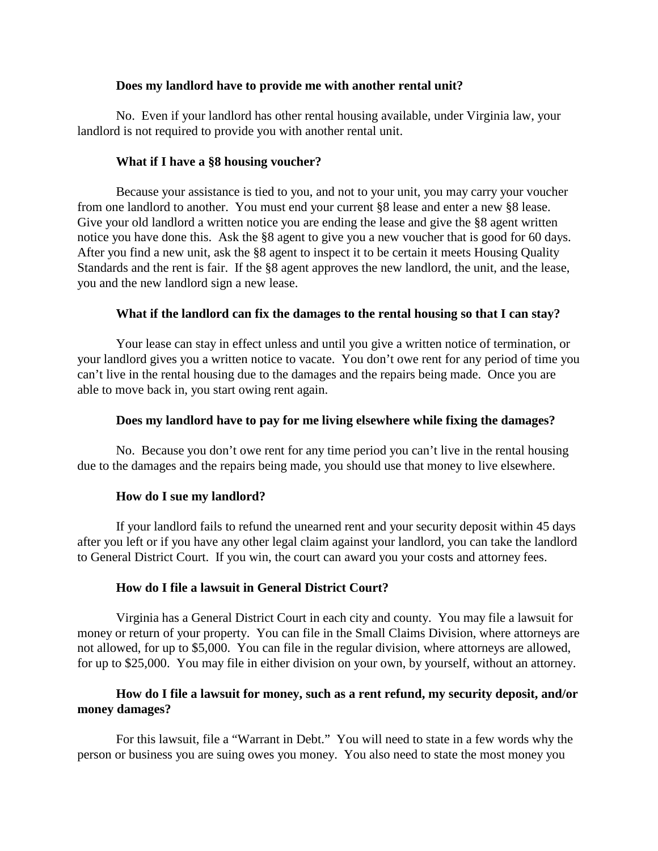#### **Does my landlord have to provide me with another rental unit?**

No. Even if your landlord has other rental housing available, under Virginia law, your landlord is not required to provide you with another rental unit.

#### **What if I have a §8 housing voucher?**

Because your assistance is tied to you, and not to your unit, you may carry your voucher from one landlord to another. You must end your current §8 lease and enter a new §8 lease. Give your old landlord a written notice you are ending the lease and give the §8 agent written notice you have done this. Ask the §8 agent to give you a new voucher that is good for 60 days. After you find a new unit, ask the §8 agent to inspect it to be certain it meets Housing Quality Standards and the rent is fair. If the §8 agent approves the new landlord, the unit, and the lease, you and the new landlord sign a new lease.

#### **What if the landlord can fix the damages to the rental housing so that I can stay?**

Your lease can stay in effect unless and until you give a written notice of termination, or your landlord gives you a written notice to vacate. You don't owe rent for any period of time you can't live in the rental housing due to the damages and the repairs being made. Once you are able to move back in, you start owing rent again.

#### **Does my landlord have to pay for me living elsewhere while fixing the damages?**

No. Because you don't owe rent for any time period you can't live in the rental housing due to the damages and the repairs being made, you should use that money to live elsewhere.

#### **How do I sue my landlord?**

If your landlord fails to refund the unearned rent and your security deposit within 45 days after you left or if you have any other legal claim against your landlord, you can take the landlord to General District Court. If you win, the court can award you your costs and attorney fees.

#### **How do I file a lawsuit in General District Court?**

Virginia has a General District Court in each city and county. You may file a lawsuit for money or return of your property. You can file in the Small Claims Division, where attorneys are not allowed, for up to \$5,000. You can file in the regular division, where attorneys are allowed, for up to \$25,000. You may file in either division on your own, by yourself, without an attorney.

# **How do I file a lawsuit for money, such as a rent refund, my security deposit, and/or money damages?**

For this lawsuit, file a "Warrant in Debt." You will need to state in a few words why the person or business you are suing owes you money. You also need to state the most money you